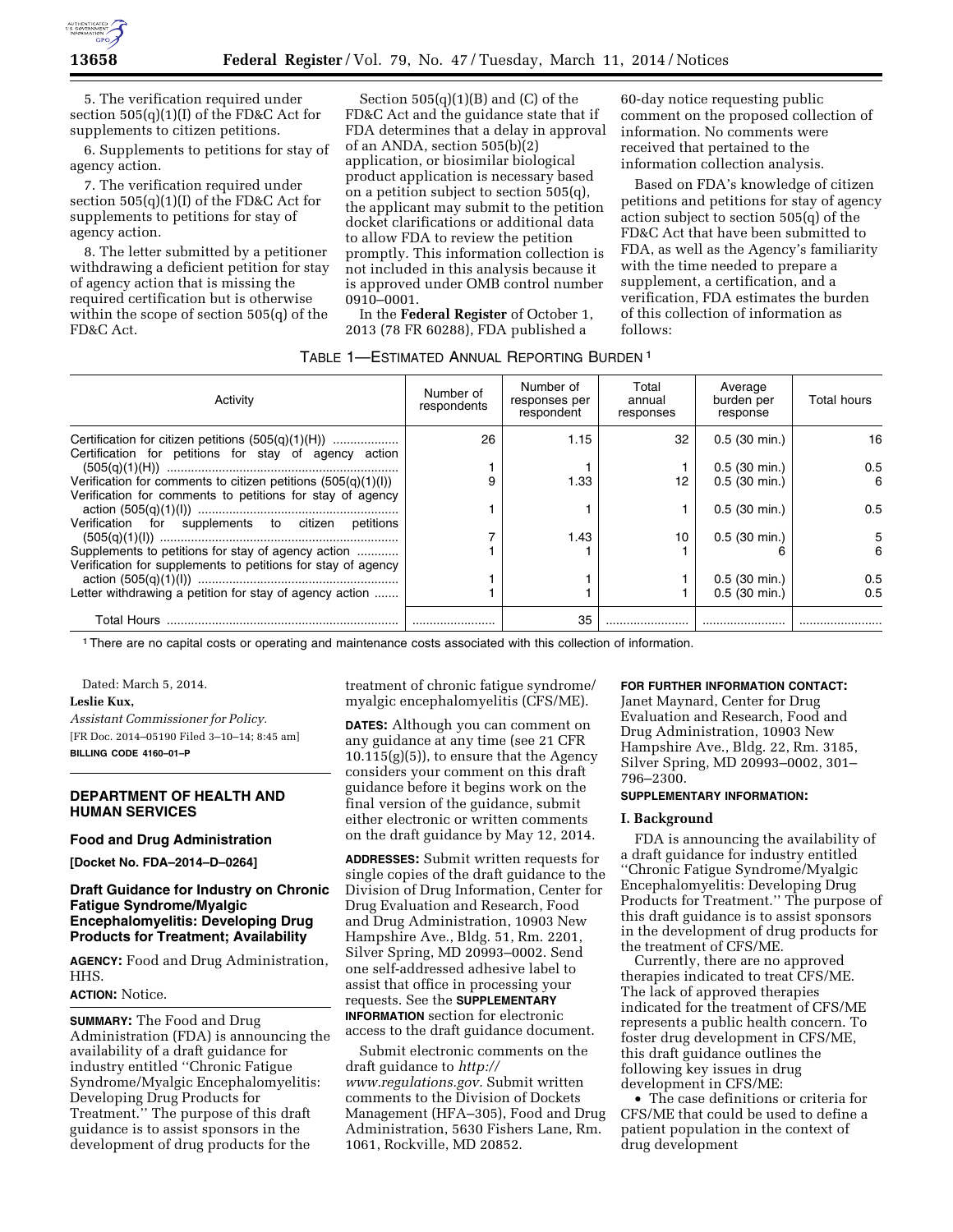

5. The verification required under section 505(q)(1)(I) of the FD&C Act for supplements to citizen petitions.

6. Supplements to petitions for stay of agency action.

7. The verification required under section 505(q)(1)(I) of the FD&C Act for supplements to petitions for stay of agency action.

8. The letter submitted by a petitioner withdrawing a deficient petition for stay of agency action that is missing the required certification but is otherwise within the scope of section 505(q) of the FD&C Act.

Section  $505(q)(1)(B)$  and  $(C)$  of the FD&C Act and the guidance state that if FDA determines that a delay in approval of an ANDA, section 505(b)(2) application, or biosimilar biological product application is necessary based on a petition subject to section 505(q), the applicant may submit to the petition docket clarifications or additional data to allow FDA to review the petition promptly. This information collection is not included in this analysis because it is approved under OMB control number 0910–0001.

In the **Federal Register** of October 1, 2013 (78 FR 60288), FDA published a

60-day notice requesting public comment on the proposed collection of information. No comments were received that pertained to the information collection analysis.

Based on FDA's knowledge of citizen petitions and petitions for stay of agency action subject to section 505(q) of the FD&C Act that have been submitted to FDA, as well as the Agency's familiarity with the time needed to prepare a supplement, a certification, and a verification, FDA estimates the burden of this collection of information as follows:

# TABLE 1—ESTIMATED ANNUAL REPORTING BURDEN 1

| Activity                                                        | Number of<br>respondents | Number of<br>responses per<br>respondent | Total<br>annual<br>responses | Average<br>burden per<br>response | Total hours |
|-----------------------------------------------------------------|--------------------------|------------------------------------------|------------------------------|-----------------------------------|-------------|
| Certification for citizen petitions $(505(q)(1)(H))$            | 26                       | 1.15                                     | 32                           | $0.5(30 \text{ min.})$            | 16          |
| Certification for petitions for stay of agency action           |                          |                                          |                              |                                   |             |
|                                                                 |                          |                                          |                              | $0.5(30 \text{ min.})$            | 0.5         |
| Verification for comments to citizen petitions $(505(q)(1)(I))$ | 9                        | 1.33                                     | 12                           | $0.5$ (30 min.)                   | 6           |
| Verification for comments to petitions for stay of agency       |                          |                                          |                              |                                   |             |
|                                                                 |                          |                                          |                              | $0.5$ (30 min.)                   | 0.5         |
| Verification for supplements to citizen petitions               |                          |                                          |                              |                                   |             |
|                                                                 |                          | 1.43                                     | 10                           | $0.5$ (30 min.)                   | 5           |
| Supplements to petitions for stay of agency action              |                          |                                          |                              |                                   | 6           |
| Verification for supplements to petitions for stay of agency    |                          |                                          |                              |                                   |             |
|                                                                 |                          |                                          |                              | $0.5$ (30 min.)                   | 0.5         |
| Letter withdrawing a petition for stay of agency action         |                          |                                          |                              | $0.5$ (30 min.)                   | 0.5         |
|                                                                 |                          | 35                                       |                              |                                   |             |

1There are no capital costs or operating and maintenance costs associated with this collection of information.

Dated: March 5, 2014.

#### **Leslie Kux,**

*Assistant Commissioner for Policy.*  [FR Doc. 2014–05190 Filed 3–10–14; 8:45 am] **BILLING CODE 4160–01–P** 

# **DEPARTMENT OF HEALTH AND HUMAN SERVICES**

#### **Food and Drug Administration**

**[Docket No. FDA–2014–D–0264]** 

# **Draft Guidance for Industry on Chronic Fatigue Syndrome/Myalgic Encephalomyelitis: Developing Drug Products for Treatment; Availability**

**AGENCY:** Food and Drug Administration, HHS.

# **ACTION:** Notice.

**SUMMARY:** The Food and Drug Administration (FDA) is announcing the availability of a draft guidance for industry entitled ''Chronic Fatigue Syndrome/Myalgic Encephalomyelitis: Developing Drug Products for Treatment.'' The purpose of this draft guidance is to assist sponsors in the development of drug products for the

treatment of chronic fatigue syndrome/ myalgic encephalomyelitis (CFS/ME).

**DATES:** Although you can comment on any guidance at any time (see 21 CFR  $10.115(g)(5)$ , to ensure that the Agency considers your comment on this draft guidance before it begins work on the final version of the guidance, submit either electronic or written comments on the draft guidance by May 12, 2014.

**ADDRESSES:** Submit written requests for single copies of the draft guidance to the Division of Drug Information, Center for Drug Evaluation and Research, Food and Drug Administration, 10903 New Hampshire Ave., Bldg. 51, Rm. 2201, Silver Spring, MD 20993–0002. Send one self-addressed adhesive label to assist that office in processing your requests. See the **SUPPLEMENTARY INFORMATION** section for electronic access to the draft guidance document.

Submit electronic comments on the draft guidance to *[http://](http://www.regulations.gov) [www.regulations.gov.](http://www.regulations.gov)* Submit written comments to the Division of Dockets Management (HFA–305), Food and Drug Administration, 5630 Fishers Lane, Rm. 1061, Rockville, MD 20852.

#### **FOR FURTHER INFORMATION CONTACT:**

Janet Maynard, Center for Drug Evaluation and Research, Food and Drug Administration, 10903 New Hampshire Ave., Bldg. 22, Rm. 3185, Silver Spring, MD 20993–0002, 301– 796–2300.

#### **SUPPLEMENTARY INFORMATION:**

### **I. Background**

FDA is announcing the availability of a draft guidance for industry entitled ''Chronic Fatigue Syndrome/Myalgic Encephalomyelitis: Developing Drug Products for Treatment.'' The purpose of this draft guidance is to assist sponsors in the development of drug products for the treatment of CFS/ME.

Currently, there are no approved therapies indicated to treat CFS/ME. The lack of approved therapies indicated for the treatment of CFS/ME represents a public health concern. To foster drug development in CFS/ME, this draft guidance outlines the following key issues in drug development in CFS/ME:

• The case definitions or criteria for CFS/ME that could be used to define a patient population in the context of drug development